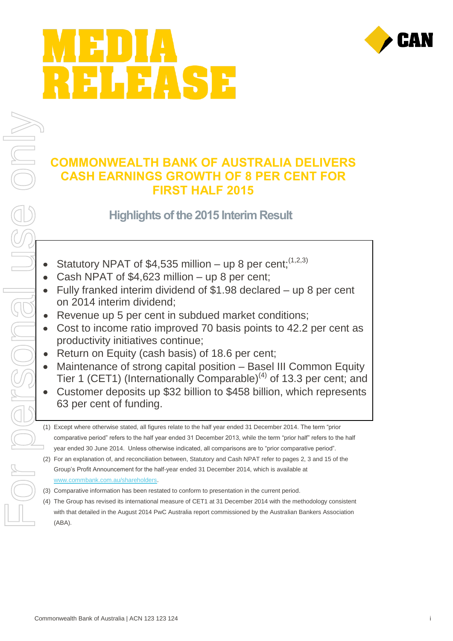# HEASE



#### **COMMONWEALTH BANK OF AUSTRALIA DELIVERS CASH EARNINGS GROWTH OF 8 PER CENT FOR FIRST HALF 2015**

#### **Highlights of the 2015 Interim Result**

- Statutory NPAT of \$4,535 million up 8 per cent;  $(1,2,3)$
- Cash NPAT of \$4,623 million up 8 per cent;  $\bullet$
- Fully franked interim dividend of \$1.98 declared up 8 per cent on 2014 interim dividend;
- Revenue up 5 per cent in subdued market conditions;
- Cost to income ratio improved 70 basis points to 42.2 per cent as  $\bullet$ productivity initiatives continue;
- Return on Equity (cash basis) of 18.6 per cent;
- Maintenance of strong capital position Basel III Common Equity Tier 1 (CET1) (Internationally Comparable)<sup>(4)</sup> of 13.3 per cent; and
- Customer deposits up \$32 billion to \$458 billion, which represents 63 per cent of funding.
- (1) Except where otherwise stated, all figures relate to the half year ended 31 December 2014. The term "prior comparative period" refers to the half year ended 31 December 2013, while the term "prior half" refers to the half year ended 30 June 2014. Unless otherwise indicated, all comparisons are to "prior comparative period".
- (2) For an explanation of, and reconciliation between, Statutory and Cash NPAT refer to pages 2, 3 and 15 of the Group's Profit Announcement for the half-year ended 31 December 2014, which is available at [www.commbank.com.au/shareholders.](http://www.commbank.com.au/shareholders)
- (3) Comparative information has been restated to conform to presentation in the current period.
- (4) The Group has revised its international measure of CET1 at 31 December 2014 with the methodology consistent with that detailed in the August 2014 PwC Australia report commissioned by the Australian Bankers Association (ABA).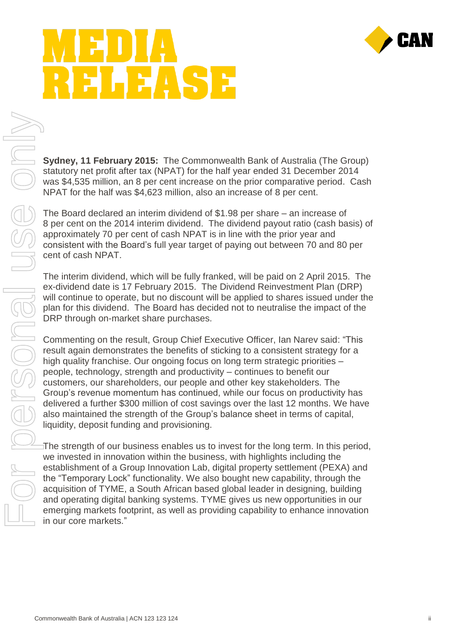

# EASE

**Sydney, 11 February 2015:** The Commonwealth Bank of Australia (The Group) statutory net profit after tax (NPAT) for the half year ended 31 December 2014 was \$4,535 million, an 8 per cent increase on the prior comparative period. Cash NPAT for the half was \$4,623 million, also an increase of 8 per cent.

The Board declared an interim dividend of \$1.98 per share – an increase of 8 per cent on the 2014 interim dividend. The dividend payout ratio (cash basis) of approximately 70 per cent of cash NPAT is in line with the prior year and consistent with the Board's full year target of paying out between 70 and 80 per cent of cash NPAT.

The interim dividend, which will be fully franked, will be paid on 2 April 2015. The ex-dividend date is 17 February 2015. The Dividend Reinvestment Plan (DRP) will continue to operate, but no discount will be applied to shares issued under the plan for this dividend. The Board has decided not to neutralise the impact of the DRP through on-market share purchases.

Commenting on the result, Group Chief Executive Officer, Ian Narev said: "This result again demonstrates the benefits of sticking to a consistent strategy for a high quality franchise. Our ongoing focus on long term strategic priorities – people, technology, strength and productivity – continues to benefit our customers, our shareholders, our people and other key stakeholders. The Group's revenue momentum has continued, while our focus on productivity has delivered a further \$300 million of cost savings over the last 12 months. We have also maintained the strength of the Group's balance sheet in terms of capital, liquidity, deposit funding and provisioning. sydney, 11 February 2015: The Commonwealth Bank of Australia (The Group)<br>statutory net profit atter tax (NPAT) for the half year ended 31 December 2014<br>was \$4.535 million, an 8 per cent norsease on the prior comparative pe

The strength of our business enables us to invest for the long term. In this period, we invested in innovation within the business, with highlights including the establishment of a Group Innovation Lab, digital property settlement (PEXA) and the "Temporary Lock" functionality. We also bought new capability, through the acquisition of TYME, a South African based global leader in designing, building and operating digital banking systems. TYME gives us new opportunities in our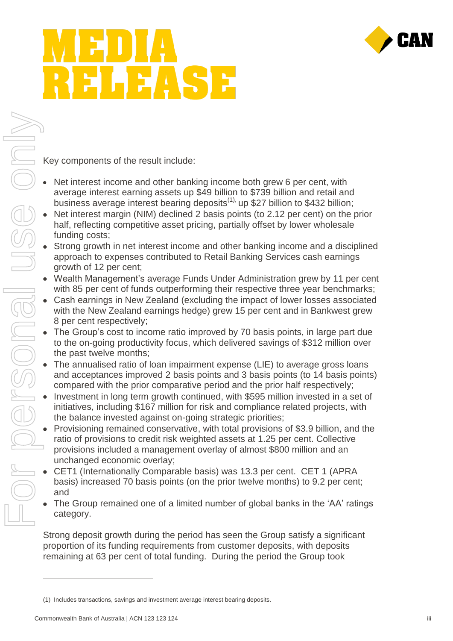

## EASE

Key components of the result include:

- Net interest income and other banking income both grew 6 per cent, with average interest earning assets up \$49 billion to \$739 billion and retail and business average interest bearing deposits<sup>(1),</sup> up \$27 billion to \$432 billion;
- Net interest margin (NIM) declined 2 basis points (to 2.12 per cent) on the prior half, reflecting competitive asset pricing, partially offset by lower wholesale funding costs;
- Strong growth in net interest income and other banking income and a disciplined approach to expenses contributed to Retail Banking Services cash earnings growth of 12 per cent;
- Wealth Management's average Funds Under Administration grew by 11 per cent with 85 per cent of funds outperforming their respective three year benchmarks;
- Cash earnings in New Zealand (excluding the impact of lower losses associated with the New Zealand earnings hedge) grew 15 per cent and in Bankwest grew 8 per cent respectively;
- The Group's cost to income ratio improved by 70 basis points, in large part due to the on-going productivity focus, which delivered savings of \$312 million over the past twelve months;
- The annualised ratio of loan impairment expense (LIE) to average gross loans and acceptances improved 2 basis points and 3 basis points (to 14 basis points) compared with the prior comparative period and the prior half respectively;
- Investment in long term growth continued, with \$595 million invested in a set of initiatives, including \$167 million for risk and compliance related projects, with the balance invested against on-going strategic priorities;
- Provisioning remained conservative, with total provisions of \$3.9 billion, and the ratio of provisions to credit risk weighted assets at 1.25 per cent. Collective provisions included a management overlay of almost \$800 million and an unchanged economic overlay;
- CET1 (Internationally Comparable basis) was 13.3 per cent. CET 1 (APRA basis) increased 70 basis points (on the prior twelve months) to 9.2 per cent; and
- The Group remained one of a limited number of global banks in the 'AA' ratings category.

Strong deposit growth during the period has seen the Group satisfy a significant proportion of its funding requirements from customer deposits, with deposits remaining at 63 per cent of total funding. During the period the Group took

 $\overline{a}$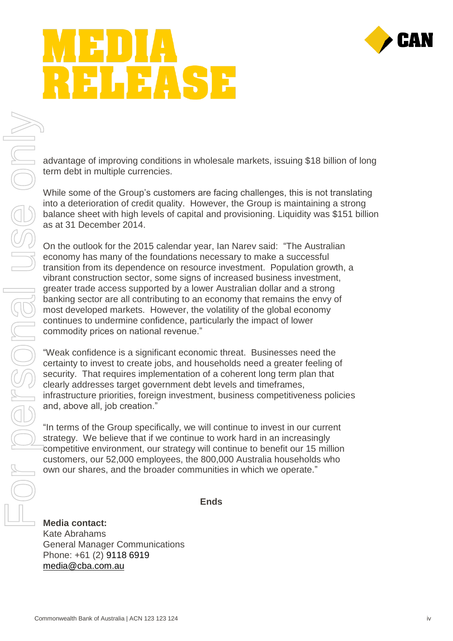

## EASE

advantage of improving conditions in wholesale markets, issuing \$18 billion of long term debt in multiple currencies.

While some of the Group's customers are facing challenges, this is not translating into a deterioration of credit quality. However, the Group is maintaining a strong balance sheet with high levels of capital and provisioning. Liquidity was \$151 billion as at 31 December 2014.

On the outlook for the 2015 calendar year, Ian Narev said: "The Australian economy has many of the foundations necessary to make a successful transition from its dependence on resource investment. Population growth, a vibrant construction sector, some signs of increased business investment, greater trade access supported by a lower Australian dollar and a strong banking sector are all contributing to an economy that remains the envy of most developed markets. However, the volatility of the global economy continues to undermine confidence, particularly the impact of lower commodity prices on national revenue."

"Weak confidence is a significant economic threat. Businesses need the certainty to invest to create jobs, and households need a greater feeling of security. That requires implementation of a coherent long term plan that clearly addresses target government debt levels and timeframes, infrastructure priorities, foreign investment, business competitiveness policies and, above all, job creation."

"In terms of the Group specifically, we will continue to invest in our current strategy. We believe that if we continue to work hard in an increasingly competitive environment, our strategy will continue to benefit our 15 million customers, our 52,000 employees, the 800,000 Australia households who own our shares, and the broader communities in which we operate."

**Ends**

**Media contact:** Kate Abrahams General Manager Communications Phone: +61 (2) 9118 6919